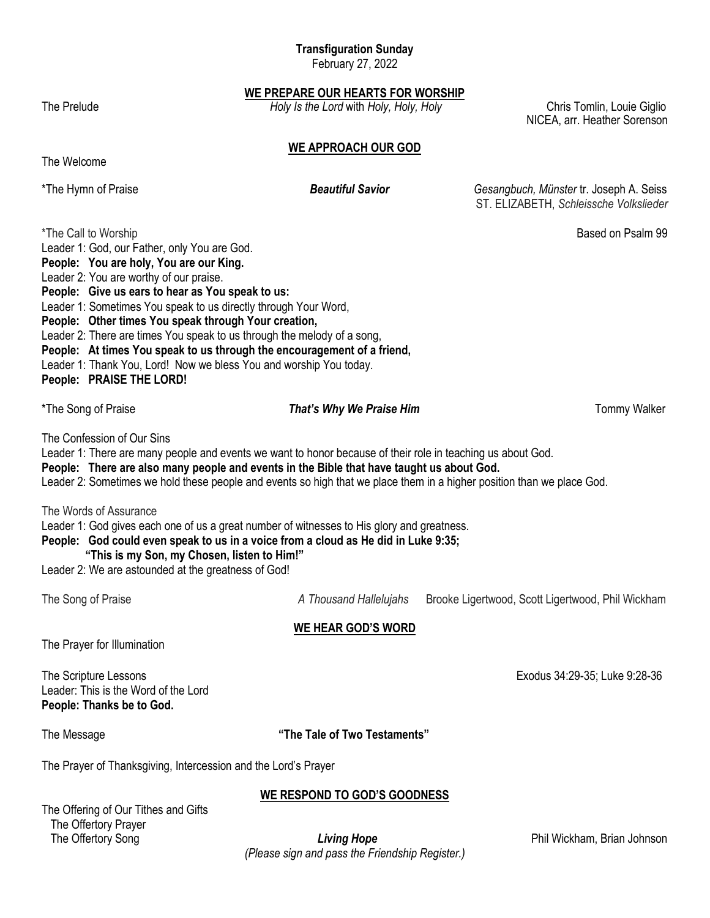# **Transfiguration Sunday**

February 27, 2022

**WE PREPARE OUR HEARTS FOR WORSHIP**

The Prelude **Follow Chris Tomlin, Louie Giglio** *Holy Is the Lord with Holy, Holy, Holy* **Chris Tomlin, Louie Giglio** 

NICEA, arr. Heather Sorenson

# **WE APPROACH OUR GOD**

The Welcome

\*The Hymn of Praise *Beautiful Savior Gesangbuch, Münster* tr. Joseph A. Seiss ST. ELIZABETH, *Schleissche Volkslieder*

| *The Call to Worship                                                                                                                                                                                                                                                                                                                                             | Leader 1: God, our Father, only You are God.<br>People: You are holy, You are our King.<br>Leader 2: You are worthy of our praise.<br>People: Give us ears to hear as You speak to us:<br>Leader 1: Sometimes You speak to us directly through Your Word,<br>People: Other times You speak through Your creation,<br>Leader 2: There are times You speak to us through the melody of a song,<br>People: At times You speak to us through the encouragement of a friend,<br>Leader 1: Thank You, Lord! Now we bless You and worship You today.<br>People: PRAISE THE LORD! |                          | Based on Psalm 99   |  |  |
|------------------------------------------------------------------------------------------------------------------------------------------------------------------------------------------------------------------------------------------------------------------------------------------------------------------------------------------------------------------|---------------------------------------------------------------------------------------------------------------------------------------------------------------------------------------------------------------------------------------------------------------------------------------------------------------------------------------------------------------------------------------------------------------------------------------------------------------------------------------------------------------------------------------------------------------------------|--------------------------|---------------------|--|--|
| *The Song of Praise                                                                                                                                                                                                                                                                                                                                              |                                                                                                                                                                                                                                                                                                                                                                                                                                                                                                                                                                           | That's Why We Praise Him | <b>Tommy Walker</b> |  |  |
| The Confession of Our Sins<br>Leader 1: There are many people and events we want to honor because of their role in teaching us about God.<br>People: There are also many people and events in the Bible that have taught us about God.<br>Leader 2: Sometimes we hold these people and events so high that we place them in a higher position than we place God. |                                                                                                                                                                                                                                                                                                                                                                                                                                                                                                                                                                           |                          |                     |  |  |
|                                                                                                                                                                                                                                                                                                                                                                  | The Words of Assurance<br>Leader 1: God gives each one of us a great number of witnesses to His glory and greatness.<br>People: God could even speak to us in a voice from a cloud as He did in Luke 9:35;<br>"This is my Son, my Chosen, listen to Him!"<br>Leader 2: We are astounded at the greatness of God!                                                                                                                                                                                                                                                          |                          |                     |  |  |

The Song of Praise *A Thousand Hallelujahs* Brooke Ligertwood, Scott Ligertwood, Phil Wickham

## **WE HEAR GOD'S WORD**

The Prayer for Illumination

The Scripture Lessons **Exodus 34:29-36**; Luke 9:28-36 Leader: This is the Word of the Lord **People: Thanks be to God.**

# The Message **"The Tale of Two Testaments"**

The Prayer of Thanksgiving, Intercession and the Lord's Prayer

The Offering of Our Tithes and Gifts The Offertory Prayer

**WE RESPOND TO GOD'S GOODNESS**

The Offertory Song **Example 20 The Offertory Song** *Living Hope* **Phil Wickham, Brian Johnson** *(Please sign and pass the Friendship Register.)*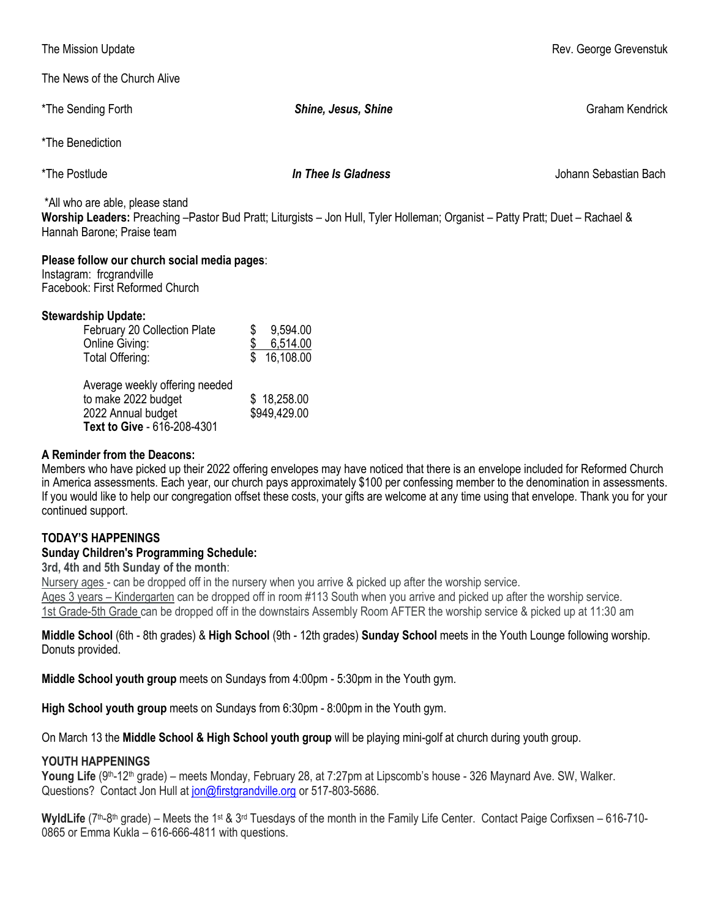The News of the Church Alive

The Mission Update **Rev. George Grevenstuk** Channels and The Mission Update Rev. George Grevenstuk

| *The Sending Forth                                                                                                                                                                             | Shine, Jesus, Shine               | <b>Graham Kendrick</b> |  |  |  |
|------------------------------------------------------------------------------------------------------------------------------------------------------------------------------------------------|-----------------------------------|------------------------|--|--|--|
| *The Benediction                                                                                                                                                                               |                                   |                        |  |  |  |
| *The Postlude                                                                                                                                                                                  | In Thee Is Gladness               | Johann Sebastian Bach  |  |  |  |
| *All who are able, please stand<br>Worship Leaders: Preaching -Pastor Bud Pratt; Liturgists - Jon Hull, Tyler Holleman; Organist - Patty Pratt; Duet - Rachael &<br>Hannah Barone; Praise team |                                   |                        |  |  |  |
| Please follow our church social media pages:<br>Instagram: frcgrandville<br>Facebook: First Reformed Church                                                                                    |                                   |                        |  |  |  |
| <b>Stewardship Update:</b><br>February 20 Collection Plate<br>\$<br>Online Giving:<br>Total Offering:                                                                                          | 9,594.00<br>6,514.00<br>16,108.00 |                        |  |  |  |

| \$18,258.00  |
|--------------|
| \$949,429.00 |
|              |
|              |

#### **A Reminder from the Deacons:**

Members who have picked up their 2022 offering envelopes may have noticed that there is an envelope included for Reformed Church in America assessments. Each year, our church pays approximately \$100 per confessing member to the denomination in assessments. If you would like to help our congregation offset these costs, your gifts are welcome at any time using that envelope. Thank you for your continued support.

## **TODAY'S HAPPENINGS**

## **Sunday Children's Programming Schedule:**

**3rd, 4th and 5th Sunday of the month**:

Nursery ages - can be dropped off in the nursery when you arrive & picked up after the worship service. Ages 3 years – Kindergarten can be dropped off in room #113 South when you arrive and picked up after the worship service. 1st Grade-5th Grade can be dropped off in the downstairs Assembly Room AFTER the worship service & picked up at 11:30 am

### **Middle School** (6th - 8th grades) & **High School** (9th - 12th grades) **Sunday School** meets in the Youth Lounge following worship. Donuts provided.

**Middle School youth group** meets on Sundays from 4:00pm - 5:30pm in the Youth gym.

**High School youth group** meets on Sundays from 6:30pm - 8:00pm in the Youth gym.

On March 13 the **Middle School & High School youth group** will be playing mini-golf at church during youth group.

#### **YOUTH HAPPENINGS**

Young Life (9<sup>th</sup>-12<sup>th</sup> grade) – meets Monday, February 28, at 7:27pm at Lipscomb's house - 326 Maynard Ave. SW, Walker. Questions? Contact Jon Hull at [jon@firstgrandville.org](mailto:jon@firstgrandville.org) or 517-803-5686.

WyldLife (7<sup>th</sup>-8<sup>th</sup> grade) – Meets the 1<sup>st</sup> & 3<sup>rd</sup> Tuesdays of the month in the Family Life Center. Contact Paige Corfixsen – 616-710-0865 or Emma Kukla – 616-666-4811 with questions.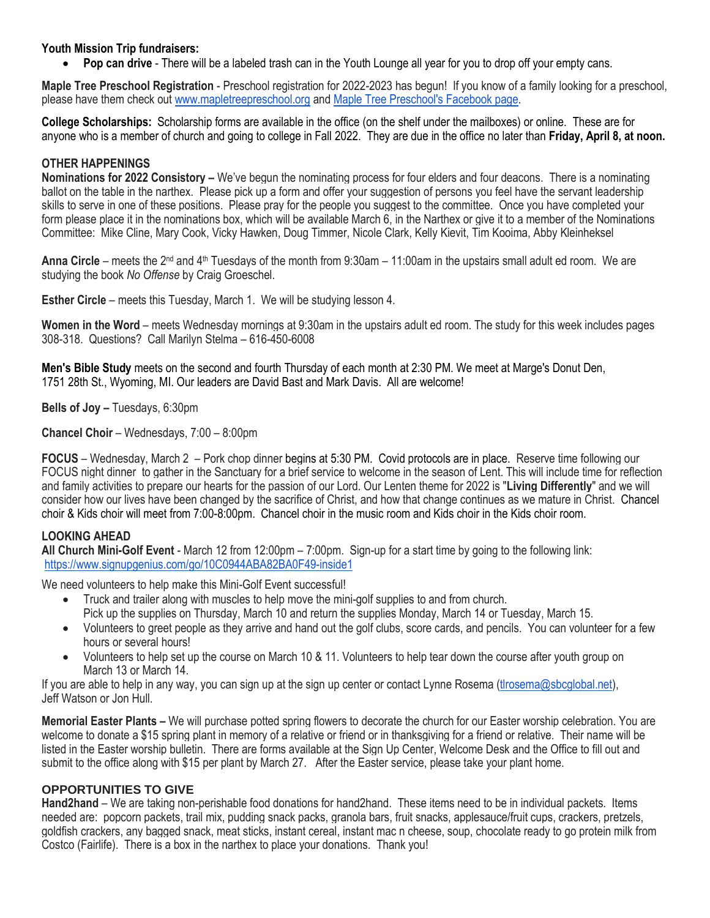### **Youth Mission Trip fundraisers:**

**Pop can drive** - There will be a labeled trash can in the Youth Lounge all year for you to drop off your empty cans.

**Maple Tree Preschool Registration** - Preschool registration for 2022-2023 has begun! If you know of a family looking for a preschool, please have them check out [www.mapletreepreschool.org](http://www.mapletreepreschool.org/) and [Maple Tree Preschool's](https://www.facebook.com/Maple-Tree-Preschool-107534002642706) Facebook page.

**College Scholarships:** Scholarship forms are available in the office (on the shelf under the mailboxes) or online. These are for anyone who is a member of church and going to college in Fall 2022. They are due in the office no later than **Friday, April 8, at noon.**

#### **OTHER HAPPENINGS**

**Nominations for 2022 Consistory –** We've begun the nominating process for four elders and four deacons. There is a nominating ballot on the table in the narthex. Please pick up a form and offer your suggestion of persons you feel have the servant leadership skills to serve in one of these positions. Please pray for the people you suggest to the committee. Once you have completed your form please place it in the nominations box, which will be available March 6, in the Narthex or give it to a member of the Nominations Committee: Mike Cline, Mary Cook, Vicky Hawken, Doug Timmer, Nicole Clark, Kelly Kievit, Tim Kooima, Abby Kleinheksel

**Anna Circle** – meets the 2<sup>nd</sup> and 4<sup>th</sup> Tuesdays of the month from 9:30am – 11:00am in the upstairs small adult ed room. We are studying the book *No Offense* by Craig Groeschel.

**Esther Circle** – meets this Tuesday, March 1. We will be studying lesson 4.

**Women in the Word** – meets Wednesday mornings at 9:30am in the upstairs adult ed room. The study for this week includes pages 308-318. Questions? Call Marilyn Stelma – 616-450-6008

**Men's Bible Study** meets on the second and fourth Thursday of each month at 2:30 PM. We meet at Marge's Donut Den, 1751 28th St., Wyoming, MI. Our leaders are David Bast and Mark Davis. All are welcome!

**Bells of Joy –** Tuesdays, 6:30pm

**Chancel Choir** – Wednesdays, 7:00 – 8:00pm

**FOCUS** – Wednesday, March 2 – Pork chop dinner begins at 5:30 PM. Covid protocols are in place. Reserve time following our FOCUS night dinner to gather in the Sanctuary for a brief service to welcome in the season of Lent. This will include time for reflection and family activities to prepare our hearts for the passion of our Lord. Our Lenten theme for 2022 is "**Living Differently**" and we will consider how our lives have been changed by the sacrifice of Christ, and how that change continues as we mature in Christ. Chancel choir & Kids choir will meet from 7:00-8:00pm. Chancel choir in the music room and Kids choir in the Kids choir room.

## **LOOKING AHEAD**

**All Church Mini-Golf Event** - March 12 from 12:00pm – 7:00pm. Sign-up for a start time by going to the following link: <https://www.signupgenius.com/go/10C0944ABA82BA0F49-inside1>

We need volunteers to help make this Mini-Golf Event successful!

- Truck and trailer along with muscles to help move the mini-golf supplies to and from church. Pick up the supplies on Thursday, March 10 and return the supplies Monday, March 14 or Tuesday, March 15.
- Volunteers to greet people as they arrive and hand out the golf clubs, score cards, and pencils. You can volunteer for a few hours or several hours!
- Volunteers to help set up the course on March 10 & 11. Volunteers to help tear down the course after youth group on March 13 or March 14.

If you are able to help in any way, you can sign up at the sign up center or contact Lynne Rosema [\(tlrosema@sbcglobal.net\)](mailto:tlrosema@sbcglobal.net), Jeff Watson or Jon Hull.

**Memorial Easter Plants –** We will purchase potted spring flowers to decorate the church for our Easter worship celebration. You are welcome to donate a \$15 spring plant in memory of a relative or friend or in thanksgiving for a friend or relative. Their name will be listed in the Easter worship bulletin. There are forms available at the Sign Up Center, Welcome Desk and the Office to fill out and submit to the office along with \$15 per plant by March 27. After the Easter service, please take your plant home.

#### **OPPORTUNITIES TO GIVE**

**Hand2hand** – We are taking non-perishable food donations for hand2hand. These items need to be in individual packets. Items needed are: popcorn packets, trail mix, pudding snack packs, granola bars, fruit snacks, applesauce/fruit cups, crackers, pretzels, goldfish crackers, any bagged snack, meat sticks, instant cereal, instant mac n cheese, soup, chocolate ready to go protein milk from Costco (Fairlife). There is a box in the narthex to place your donations. Thank you!